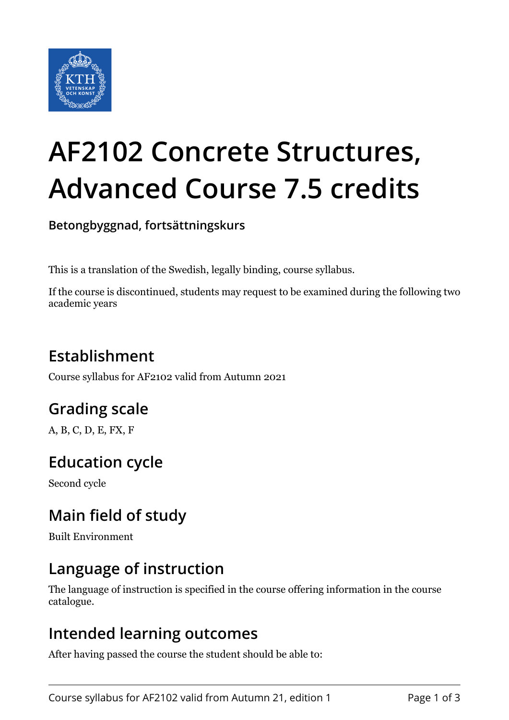

# **AF2102 Concrete Structures, Advanced Course 7.5 credits**

**Betongbyggnad, fortsättningskurs**

This is a translation of the Swedish, legally binding, course syllabus.

If the course is discontinued, students may request to be examined during the following two academic years

## **Establishment**

Course syllabus for AF2102 valid from Autumn 2021

## **Grading scale**

A, B, C, D, E, FX, F

## **Education cycle**

Second cycle

## **Main field of study**

Built Environment

## **Language of instruction**

The language of instruction is specified in the course offering information in the course catalogue.

#### **Intended learning outcomes**

After having passed the course the student should be able to: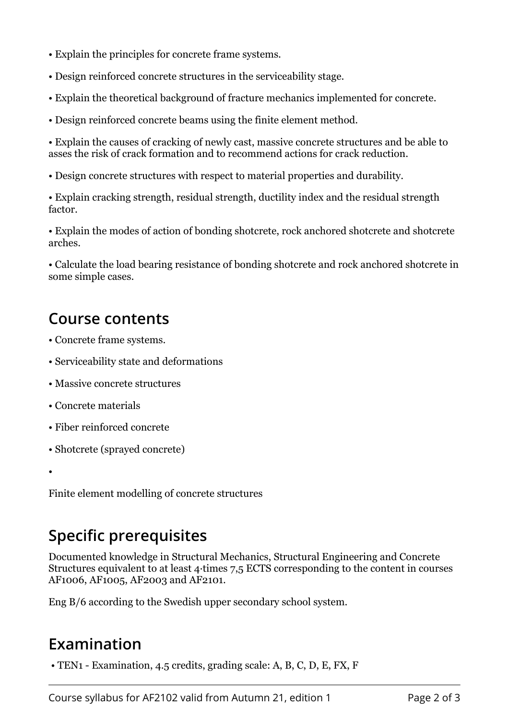- Explain the principles for concrete frame systems.
- Design reinforced concrete structures in the serviceability stage.
- Explain the theoretical background of fracture mechanics implemented for concrete.
- Design reinforced concrete beams using the finite element method.

• Explain the causes of cracking of newly cast, massive concrete structures and be able to asses the risk of crack formation and to recommend actions for crack reduction.

• Design concrete structures with respect to material properties and durability.

• Explain cracking strength, residual strength, ductility index and the residual strength factor.

• Explain the modes of action of bonding shotcrete, rock anchored shotcrete and shotcrete arches.

• Calculate the load bearing resistance of bonding shotcrete and rock anchored shotcrete in some simple cases.

#### **Course contents**

- Concrete frame systems.
- Serviceability state and deformations
- Massive concrete structures
- Concrete materials
- Fiber reinforced concrete
- Shotcrete (sprayed concrete)

•

Finite element modelling of concrete structures

## **Specific prerequisites**

Documented knowledge in Structural Mechanics, Structural Engineering and Concrete Structures equivalent to at least 4 times 7.5 ECTS corresponding to the content in courses AF1006, AF1005, AF2003 and AF2101.

Eng B/6 according to the Swedish upper secondary school system.

## **Examination**

 $\bullet$  TEN1 - Examination, 4.5 credits, grading scale: A, B, C, D, E, FX, F

Course syllabus for AF2102 valid from Autumn 21, edition 1 Page 2 of 3